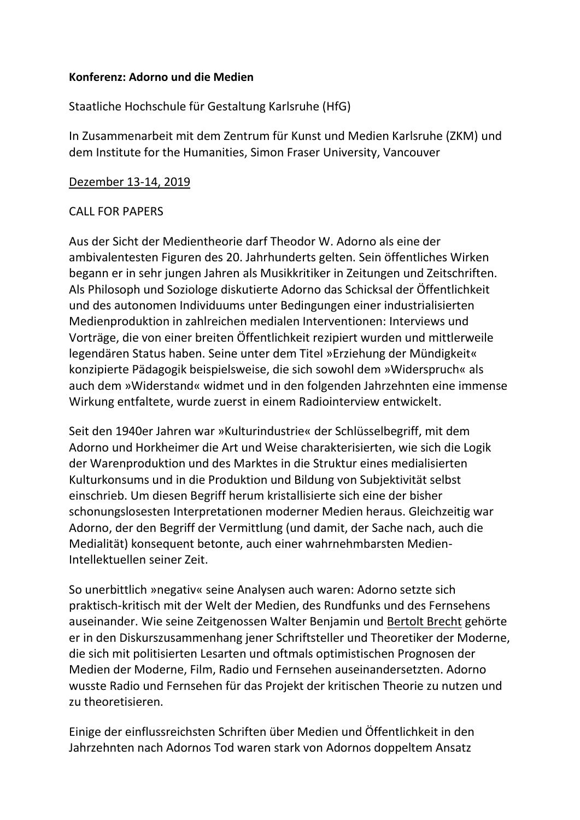## **Konferenz: Adorno und die Medien**

Staatliche Hochschule für Gestaltung Karlsruhe (HfG)

In Zusammenarbeit mit dem Zentrum für Kunst und Medien Karlsruhe (ZKM) und dem Institute for the Humanities, Simon Fraser University, Vancouver

## [Dezember 13-14, 2019](x-apple-data-detectors://8/)

## CALL FOR PAPERS

Aus der Sicht der Medientheorie darf Theodor W. Adorno als eine der ambivalentesten Figuren des 20. Jahrhunderts gelten. Sein öffentliches Wirken begann er in sehr jungen Jahren als Musikkritiker in Zeitungen und Zeitschriften. Als Philosoph und Soziologe diskutierte Adorno das Schicksal der Öffentlichkeit und des autonomen Individuums unter Bedingungen einer industrialisierten Medienproduktion in zahlreichen medialen Interventionen: Interviews und Vorträge, die von einer breiten Öffentlichkeit rezipiert wurden und mittlerweile legendären Status haben. Seine unter dem Titel »Erziehung der Mündigkeit« konzipierte Pädagogik beispielsweise, die sich sowohl dem »Widerspruch« als auch dem »Widerstand« widmet und in den folgenden Jahrzehnten eine immense Wirkung entfaltete, wurde zuerst in einem Radiointerview entwickelt.

Seit den 1940er Jahren war »Kulturindustrie« der Schlüsselbegriff, mit dem Adorno und Horkheimer die Art und Weise charakterisierten, wie sich die Logik der Warenproduktion und des Marktes in die Struktur eines medialisierten Kulturkonsums und in die Produktion und Bildung von Subjektivität selbst einschrieb. Um diesen Begriff herum kristallisierte sich eine der bisher schonungslosesten Interpretationen moderner Medien heraus. Gleichzeitig war Adorno, der den Begriff der Vermittlung (und damit, der Sache nach, auch die Medialität) konsequent betonte, auch einer wahrnehmbarsten Medien-Intellektuellen seiner Zeit.

So unerbittlich »negativ« seine Analysen auch waren: Adorno setzte sich praktisch-kritisch mit der Welt der Medien, des Rundfunks und des Fernsehens auseinander. Wie seine Zeitgenossen Walter Benjamin und [Bertolt Brecht](x-apple-data-detectors://0/) gehörte er in den Diskurszusammenhang jener Schriftsteller und Theoretiker der Moderne, die sich mit politisierten Lesarten und oftmals optimistischen Prognosen der Medien der Moderne, Film, Radio und Fernsehen auseinandersetzten. Adorno wusste Radio und Fernsehen für das Projekt der kritischen Theorie zu nutzen und zu theoretisieren.

Einige der einflussreichsten Schriften über Medien und Öffentlichkeit in den Jahrzehnten nach Adornos Tod waren stark von Adornos doppeltem Ansatz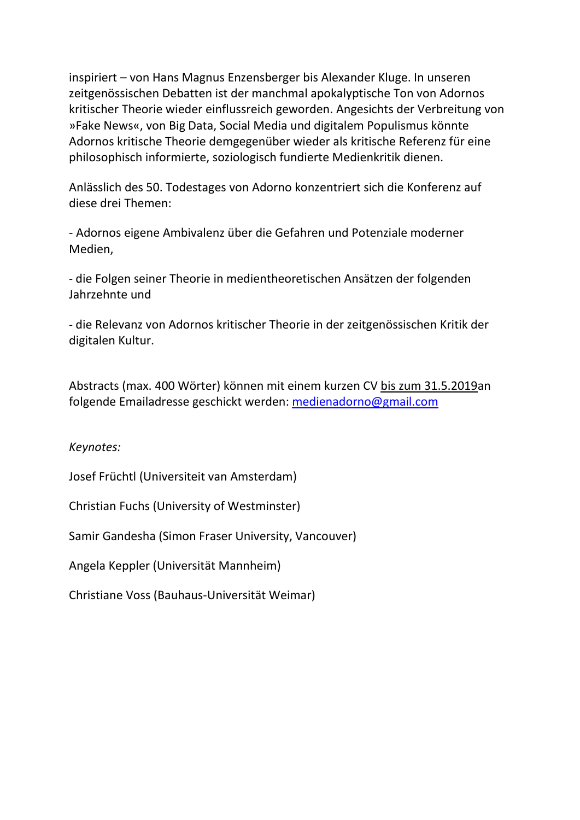inspiriert – von Hans Magnus Enzensberger bis Alexander Kluge. In unseren zeitgenössischen Debatten ist der manchmal apokalyptische Ton von Adornos kritischer Theorie wieder einflussreich geworden. Angesichts der Verbreitung von »Fake News«, von Big Data, Social Media und digitalem Populismus könnte Adornos kritische Theorie demgegenüber wieder als kritische Referenz für eine philosophisch informierte, soziologisch fundierte Medienkritik dienen.

Anlässlich des 50. Todestages von Adorno konzentriert sich die Konferenz auf diese drei Themen:

- Adornos eigene Ambivalenz über die Gefahren und Potenziale moderner Medien,

- die Folgen seiner Theorie in medientheoretischen Ansätzen der folgenden Jahrzehnte und

- die Relevanz von Adornos kritischer Theorie in der zeitgenössischen Kritik der digitalen Kultur.

Abstracts (max. 400 Wörter) können mit einem kurzen CV [bis zum 31.5.2019a](x-apple-data-detectors://1/)n folgende Emailadresse geschickt werden: [medienadorno@gmail.com](mailto:medienadorno@gmail.com)

*Keynotes:*

Josef Früchtl (Universiteit van Amsterdam)

Christian Fuchs (University of Westminster)

Samir Gandesha (Simon Fraser University, Vancouver)

Angela Keppler (Universität Mannheim)

Christiane Voss (Bauhaus-Universität Weimar)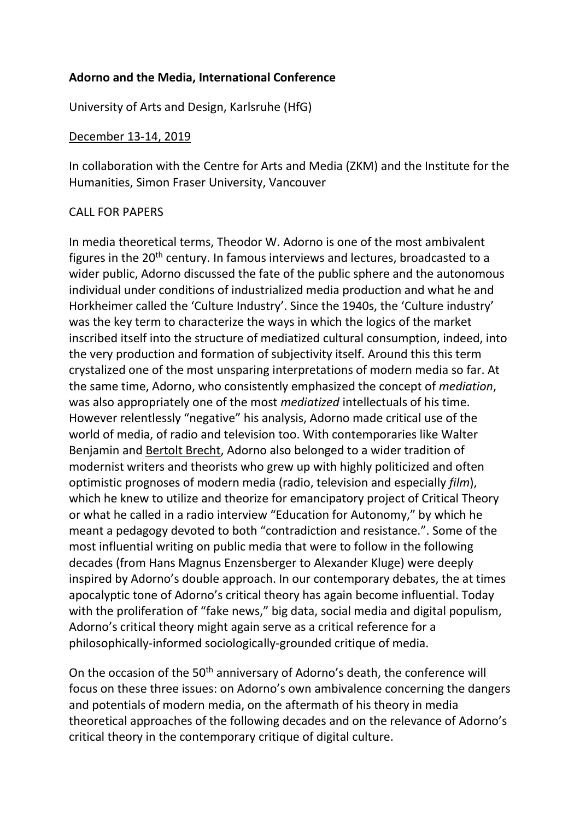# **Adorno and the Media, International Conference**

University of Arts and Design, Karlsruhe (HfG)

### [December 13-14, 2019](x-apple-data-detectors://8/)

In collaboration with the Centre for Arts and Media (ZKM) and the Institute for the Humanities, Simon Fraser University, Vancouver

## CALL FOR PAPERS

In media theoretical terms, Theodor W. Adorno is one of the most ambivalent figures in the 20<sup>th</sup> century. In famous interviews and lectures, broadcasted to a wider public, Adorno discussed the fate of the public sphere and the autonomous individual under conditions of industrialized media production and what he and Horkheimer called the 'Culture Industry'. Since the 1940s, the 'Culture industry' was the key term to characterize the ways in which the logics of the market inscribed itself into the structure of mediatized cultural consumption, indeed, into the very production and formation of subjectivity itself. Around this this term crystalized one of the most unsparing interpretations of modern media so far. At the same time, Adorno, who consistently emphasized the concept of *mediation*, was also appropriately one of the most *mediatized* intellectuals of his time. However relentlessly "negative" his analysis, Adorno made critical use of the world of media, of radio and television too. With contemporaries like Walter Benjamin and [Bertolt Brecht,](x-apple-data-detectors://9/) Adorno also belonged to a wider tradition of modernist writers and theorists who grew up with highly politicized and often optimistic prognoses of modern media (radio, television and especially *film*), which he knew to utilize and theorize for emancipatory project of Critical Theory or what he called in a radio interview "Education for Autonomy," by which he meant a pedagogy devoted to both "contradiction and resistance.". Some of the most influential writing on public media that were to follow in the following decades (from Hans Magnus Enzensberger to Alexander Kluge) were deeply inspired by Adorno's double approach. In our contemporary debates, the at times apocalyptic tone of Adorno's critical theory has again become influential. Today with the proliferation of "fake news," big data, social media and digital populism, Adorno's critical theory might again serve as a critical reference for a philosophically-informed sociologically-grounded critique of media.

On the occasion of the 50<sup>th</sup> anniversary of Adorno's death, the conference will focus on these three issues: on Adorno's own ambivalence concerning the dangers and potentials of modern media, on the aftermath of his theory in media theoretical approaches of the following decades and on the relevance of Adorno's critical theory in the contemporary critique of digital culture.